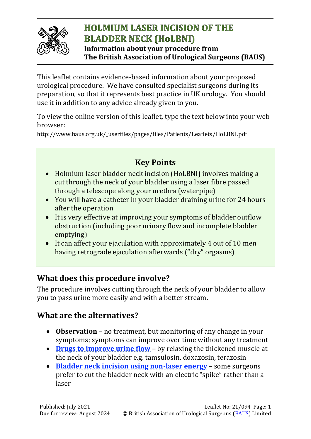

# **HOLMIUM LASER INCISION OF THE BLADDER NECK (HOLBNI)**

**Information about your procedure from The British Association of Urological Surgeons (BAUS)**

This leaflet contains evidence-based information about your proposed urological procedure. We have consulted specialist surgeons during its preparation, so that it represents best practice in UK urology. You should use it in addition to any advice already given to you.

To view the online version of this leaflet, type the text below into your web browser:

http://www.baus.org.uk/\_userfiles/pages/files/Patients/Leaflets/HoLBNI.pdf

# **Key Points**

- Holmium laser bladder neck incision (HoLBNI) involves making a cut through the neck of your bladder using a laser fibre passed through a telescope along your urethra (waterpipe)
- You will have a catheter in your bladder draining urine for 24 hours after the operation
- It is very effective at improving your symptoms of bladder outflow obstruction (including poor urinary flow and incomplete bladder emptying)
- It can affect your ejaculation with approximately 4 out of 10 men having retrograde ejaculation afterwards ("dry" orgasms)

### **What does this procedure involve?**

The procedure involves cutting through the neck of your bladder to allow you to pass urine more easily and with a better stream.

### **What are the alternatives?**

- **Observation**  no treatment, but monitoring of any change in your symptoms; symptoms can improve over time without any treatment
- **[Drugs to improve urine flow](http://www.baus.org.uk/_userfiles/pages/files/Patients/Leaflets/Male%20LUTS.pdf)** by relaxing the thickened muscle at the neck of your bladder e.g. tamsulosin, doxazosin, terazosin
- **[Bladder neck incision using non-laser energy](http://www.baus.org.uk/_userfiles/pages/files/Patients/Leaflets/Bladder%20neck%20incision.pdf)** some surgeons prefer to cut the bladder neck with an electric "spike" rather than a laser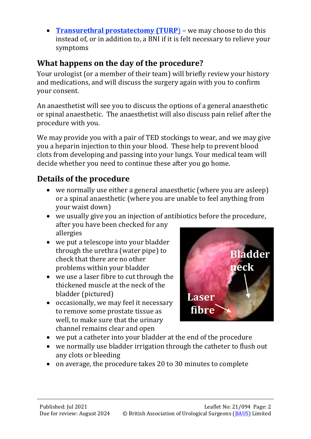• **[Transurethral prostatectomy \(TURP](http://www.baus.org.uk/_userfiles/pages/files/Patients/Leaflets/TURP%20for%20benign.pdf)**) – we may choose to do this instead of, or in addition to, a BNI if it is felt necessary to relieve your symptoms

# **What happens on the day of the procedure?**

Your urologist (or a member of their team) will briefly review your history and medications, and will discuss the surgery again with you to confirm your consent.

An anaesthetist will see you to discuss the options of a general anaesthetic or spinal anaesthetic. The anaesthetist will also discuss pain relief after the procedure with you.

We may provide you with a pair of TED stockings to wear, and we may give you a heparin injection to thin your blood. These help to prevent blood clots from developing and passing into your lungs. Your medical team will decide whether you need to continue these after you go home.

### **Details of the procedure**

- we normally use either a general anaesthetic (where you are asleep) or a spinal anaesthetic (where you are unable to feel anything from your waist down)
- we usually give you an injection of antibiotics before the procedure, after you have been checked for any allergies
- we put a telescope into your bladder through the urethra (water pipe) to check that there are no other problems within your bladder
- we use a laser fibre to cut through the thickened muscle at the neck of the bladder (pictured)
- occasionally, we may feel it necessary to remove some prostate tissue as well, to make sure that the urinary channel remains clear and open



- we put a catheter into your bladder at the end of the procedure
- we normally use bladder irrigation through the catheter to flush out any clots or bleeding
- on average, the procedure takes 20 to 30 minutes to complete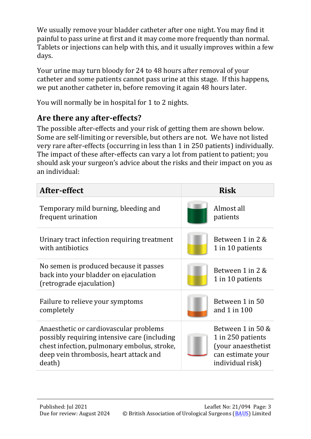We usually remove your bladder catheter after one night. You may find it painful to pass urine at first and it may come more frequently than normal. Tablets or injections can help with this, and it usually improves within a few days.

Your urine may turn bloody for 24 to 48 hours after removal of your catheter and some patients cannot pass urine at this stage. If this happens, we put another catheter in, before removing it again 48 hours later.

You will normally be in hospital for 1 to 2 nights.

### **Are there any after-effects?**

The possible after-effects and your risk of getting them are shown below. Some are self-limiting or reversible, but others are not. We have not listed very rare after-effects (occurring in less than 1 in 250 patients) individually. The impact of these after-effects can vary a lot from patient to patient; you should ask your surgeon's advice about the risks and their impact on you as an individual:

| After-effect                                                                                                                                                                              | <b>Risk</b>                                                                                           |
|-------------------------------------------------------------------------------------------------------------------------------------------------------------------------------------------|-------------------------------------------------------------------------------------------------------|
| Temporary mild burning, bleeding and<br>frequent urination                                                                                                                                | Almost all<br>patients                                                                                |
| Urinary tract infection requiring treatment<br>with antibiotics                                                                                                                           | Between 1 in 2 &<br>1 in 10 patients                                                                  |
| No semen is produced because it passes<br>back into your bladder on ejaculation<br>(retrograde ejaculation)                                                                               | Between 1 in 2 &<br>1 in 10 patients                                                                  |
| Failure to relieve your symptoms<br>completely                                                                                                                                            | Between 1 in 50<br>and 1 in 100                                                                       |
| Anaesthetic or cardiovascular problems<br>possibly requiring intensive care (including<br>chest infection, pulmonary embolus, stroke,<br>deep vein thrombosis, heart attack and<br>death) | Between 1 in 50 &<br>1 in 250 patients<br>(your anaesthetist<br>can estimate your<br>individual risk) |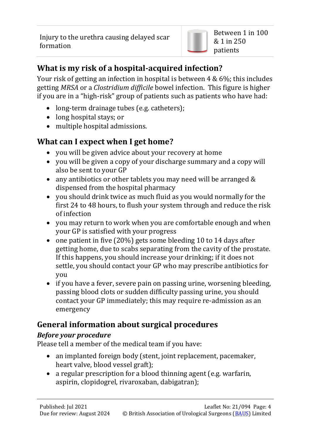Injury to the urethra causing delayed scar formation

# **What is my risk of a hospital-acquired infection?**

Your risk of getting an infection in hospital is between 4 & 6%; this includes getting *MRSA* or a *Clostridium difficile* bowel infection. This figure is higher if you are in a "high-risk" group of patients such as patients who have had:

- long-term drainage tubes (e.g. catheters);
- long hospital stays; or
- multiple hospital admissions.

# **What can I expect when I get home?**

- you will be given advice about your recovery at home
- you will be given a copy of your discharge summary and a copy will also be sent to your GP
- any antibiotics or other tablets you may need will be arranged & dispensed from the hospital pharmacy
- you should drink twice as much fluid as you would normally for the first 24 to 48 hours, to flush your system through and reduce the risk of infection
- you may return to work when you are comfortable enough and when your GP is satisfied with your progress
- one patient in five (20%) gets some bleeding 10 to 14 days after getting home, due to scabs separating from the cavity of the prostate. If this happens, you should increase your drinking; if it does not settle, you should contact your GP who may prescribe antibiotics for you
- if you have a fever, severe pain on passing urine, worsening bleeding, passing blood clots or sudden difficulty passing urine, you should contact your GP immediately; this may require re-admission as an emergency

# **General information about surgical procedures**

### *Before your procedure*

Please tell a member of the medical team if you have:

- an implanted foreign body (stent, joint replacement, pacemaker, heart valve, blood vessel graft);
- a regular prescription for a blood thinning agent (e.g. warfarin, aspirin, clopidogrel, rivaroxaban, dabigatran);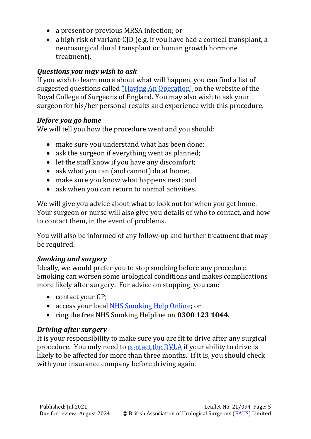- a present or previous MRSA infection; or
- a high risk of variant-CID (e.g. if you have had a corneal transplant, a neurosurgical dural transplant or human growth hormone treatment).

#### *Questions you may wish to ask*

If you wish to learn more about what will happen, you can find a list of suggested questions called ["Having An Operation"](https://www.rcseng.ac.uk/-/media/files/rcs/library-and-publications/non-journal-publications/having-an-operation.pdf) on the website of the Royal College of Surgeons of England. You may also wish to ask your surgeon for his/her personal results and experience with this procedure.

#### *Before you go home*

We will tell you how the procedure went and you should:

- make sure you understand what has been done;
- ask the surgeon if everything went as planned;
- let the staff know if you have any discomfort;
- ask what you can (and cannot) do at home;
- make sure you know what happens next; and
- ask when you can return to normal activities.

We will give you advice about what to look out for when you get home. Your surgeon or nurse will also give you details of who to contact, and how to contact them, in the event of problems.

You will also be informed of any follow-up and further treatment that may be required.

#### *Smoking and surgery*

Ideally, we would prefer you to stop smoking before any procedure. Smoking can worsen some urological conditions and makes complications more likely after surgery. For advice on stopping, you can:

- contact your GP;
- access your local [NHS Smoking Help Online;](http://www.nhs.uk/smokefree/help-and-advice/local-support-services-helplines) or
- ring the free NHS Smoking Helpline on **0300 123 1044**.

#### *Driving after surgery*

It is your responsibility to make sure you are fit to drive after any surgical procedure. You only need to [contact the DVLA](https://www.gov.uk/contact-the-dvla) if your ability to drive is likely to be affected for more than three months. If it is, you should check with your insurance company before driving again.